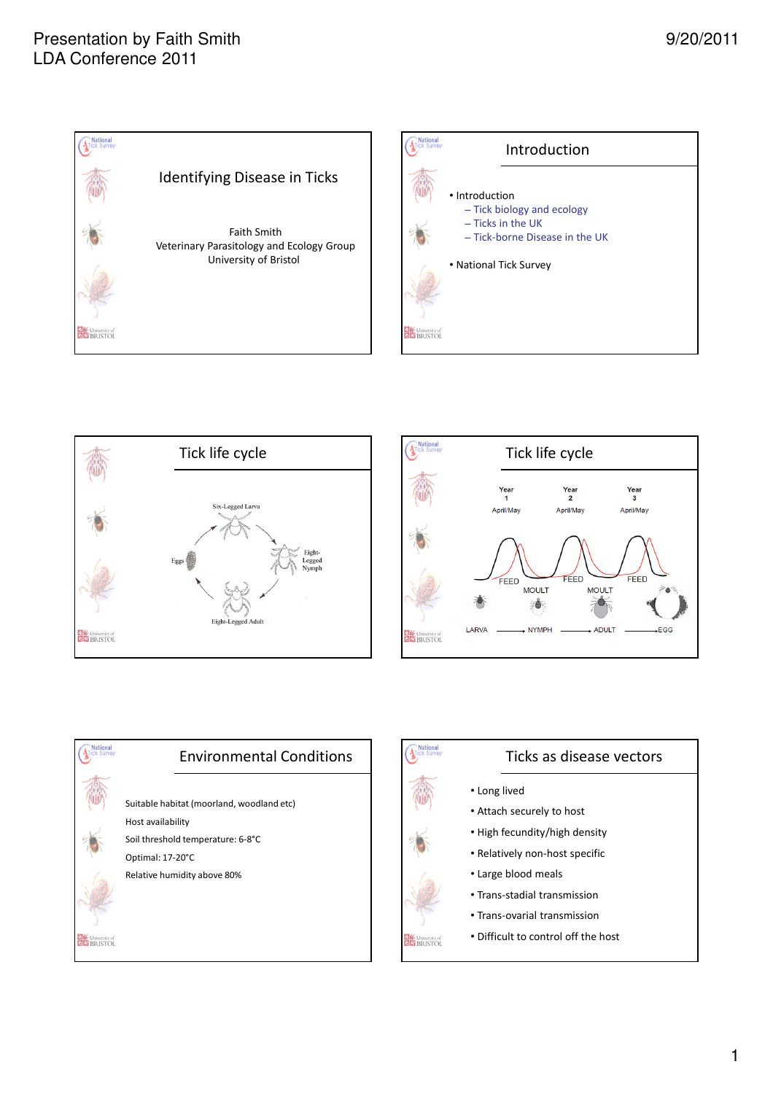









# Ticks as disease vectors

• Long lived

**EM** University of

- Attach securely to host
- High fecundity/high density
- Relatively non-host specific
- Large blood meals
- Trans-stadial transmission
- Trans-ovarial transmission
- Difficult to control off the host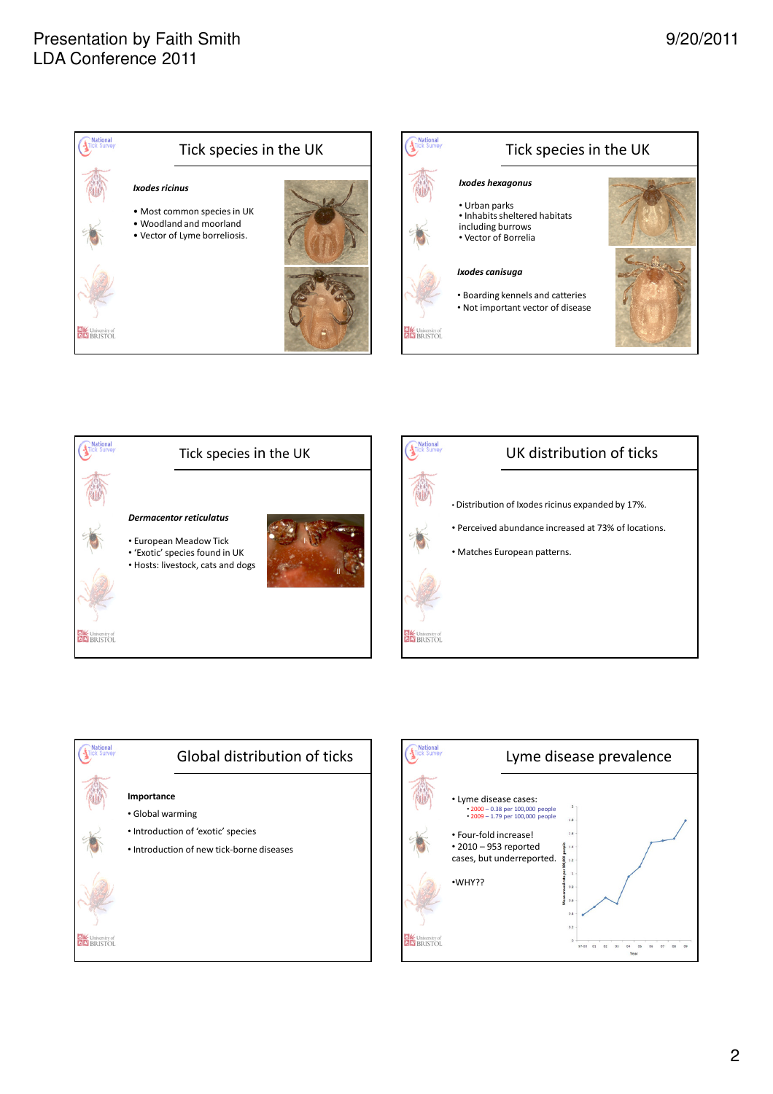







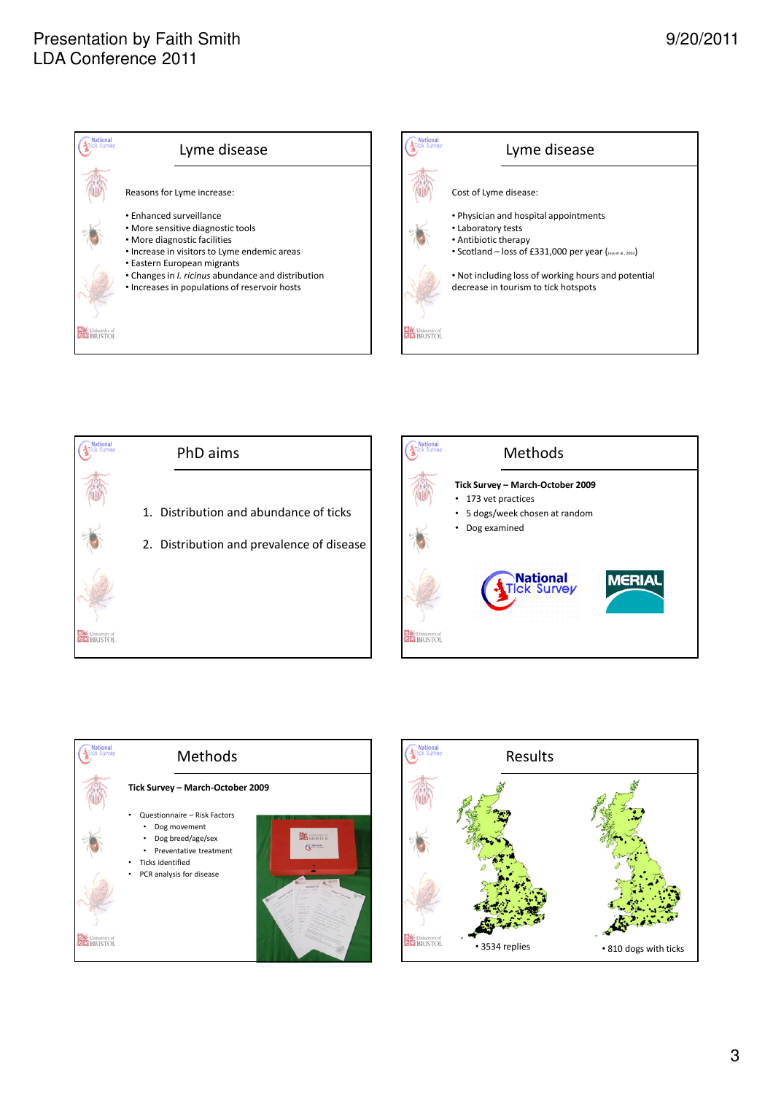







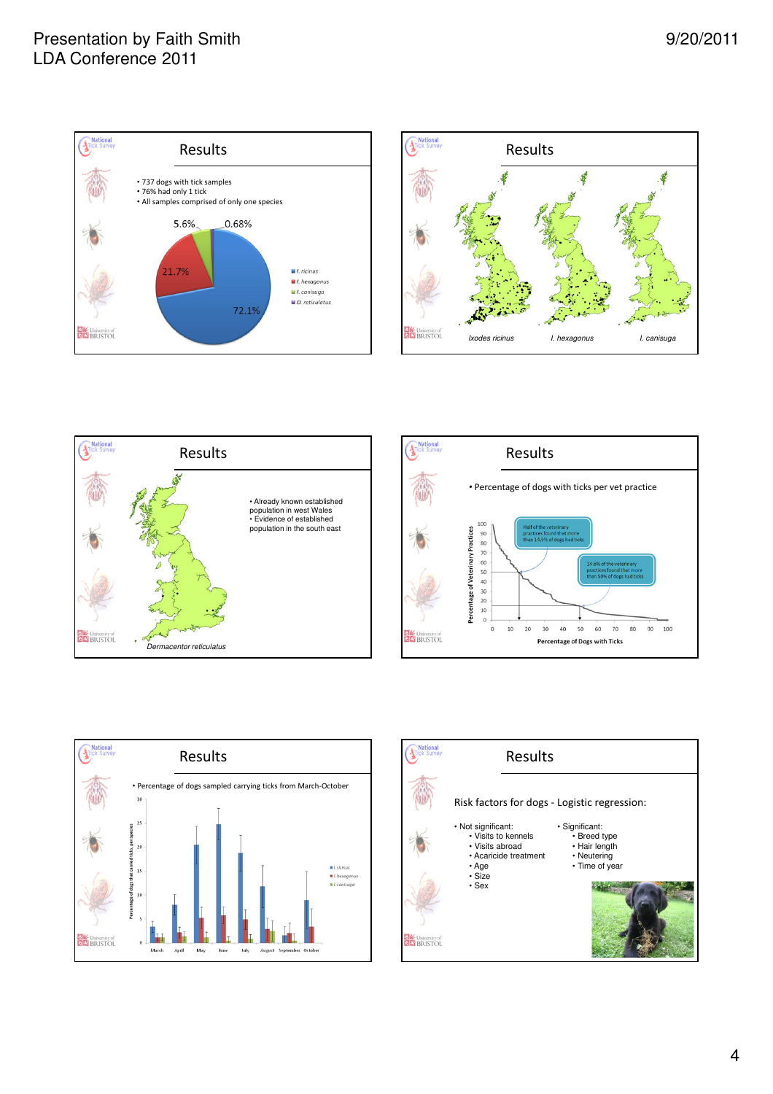